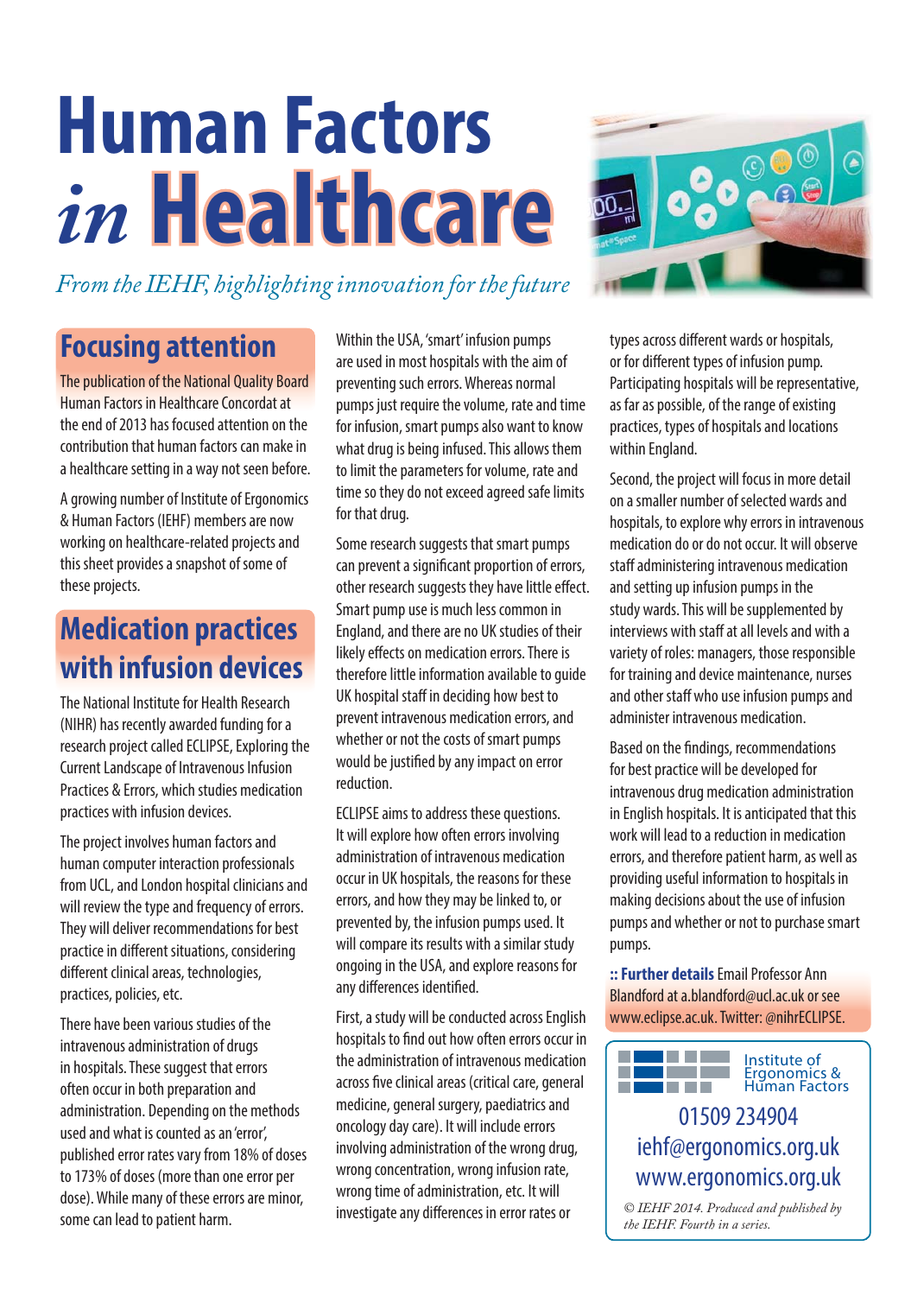# **Human Factors** *in* **Healthcare ealthcare**



*From the IEHF, highlighting innovation for the future*

## **Focusing attention**

The publication of the National Quality Board Human Factors in Healthcare Concordat at the end of 2013 has focused attention on the contribution that human factors can make in a healthcare setting in a way not seen before.

A growing number of Institute of Ergonomics & Human Factors (IEHF) members are now working on healthcare-related projects and this sheet provides a snapshot of some of these projects.

## **Medication practices with infusion devices**

The National Institute for Health Research (NIHR) has recently awarded funding for a research project called ECLIPSE, Exploring the Current Landscape of Intravenous Infusion Practices & Errors, which studies medication practices with infusion devices.

The project involves human factors and human computer interaction professionals from UCL, and London hospital clinicians and will review the type and frequency of errors. They will deliver recommendations for best practice in different situations, considering different clinical areas, technologies, practices, policies, etc.

There have been various studies of the intravenous administration of drugs in hospitals. These suggest that errors often occur in both preparation and administration. Depending on the methods used and what is counted as an 'error', published error rates vary from 18% of doses to 173% of doses (more than one error per dose). While many of these errors are minor, some can lead to patient harm.

Within the USA, 'smart' infusion pumps are used in most hospitals with the aim of preventing such errors. Whereas normal pumps just require the volume, rate and time for infusion, smart pumps also want to know what drug is being infused. This allows them to limit the parameters for volume, rate and time so they do not exceed agreed safe limits for that drug.

Some research suggests that smart pumps can prevent a significant proportion of errors, other research suggests they have little effect. Smart pump use is much less common in England, and there are no UK studies of their likely effects on medication errors. There is therefore little information available to guide UK hospital staff in deciding how best to prevent intravenous medication errors, and whether or not the costs of smart pumps would be justified by any impact on error reduction.

ECLIPSE aims to address these questions. It will explore how often errors involving administration of intravenous medication occur in UK hospitals, the reasons for these errors, and how they may be linked to, or prevented by, the infusion pumps used. It will compare its results with a similar study ongoing in the USA, and explore reasons for any differences identified.

First, a study will be conducted across English hospitals to find out how often errors occur in the administration of intravenous medication across five clinical areas (critical care, general medicine, general surgery, paediatrics and oncology day care). It will include errors involving administration of the wrong drug, wrong concentration, wrong infusion rate, wrong time of administration, etc. It will investigate any differences in error rates or

types across different wards or hospitals, or for different types of infusion pump. Participating hospitals will be representative, as far as possible, of the range of existing practices, types of hospitals and locations within England.

Second, the project will focus in more detail on a smaller number of selected wards and hospitals, to explore why errors in intravenous medication do or do not occur. It will observe staff administering intravenous medication and setting up infusion pumps in the study wards. This will be supplemented by interviews with staff at all levels and with a variety of roles: managers, those responsible for training and device maintenance, nurses and other staff who use infusion pumps and administer intravenous medication.

Based on the findings, recommendations for best practice will be developed for intravenous drug medication administration in English hospitals. It is anticipated that this work will lead to a reduction in medication errors, and therefore patient harm, as well as providing useful information to hospitals in making decisions about the use of infusion pumps and whether or not to purchase smart pumps.

**:: Further details**Email Professor Ann Blandford at a.blandford@ucl.ac.uk or see www.eclipse.ac.uk. Twitter: @nihrECLIPSE.



### 01509 234904 iehf@ergonomics.org.uk www.ergonomics.org.uk

*© IEHF 2014. Produced and published by the IEHF. Fourth in a series.*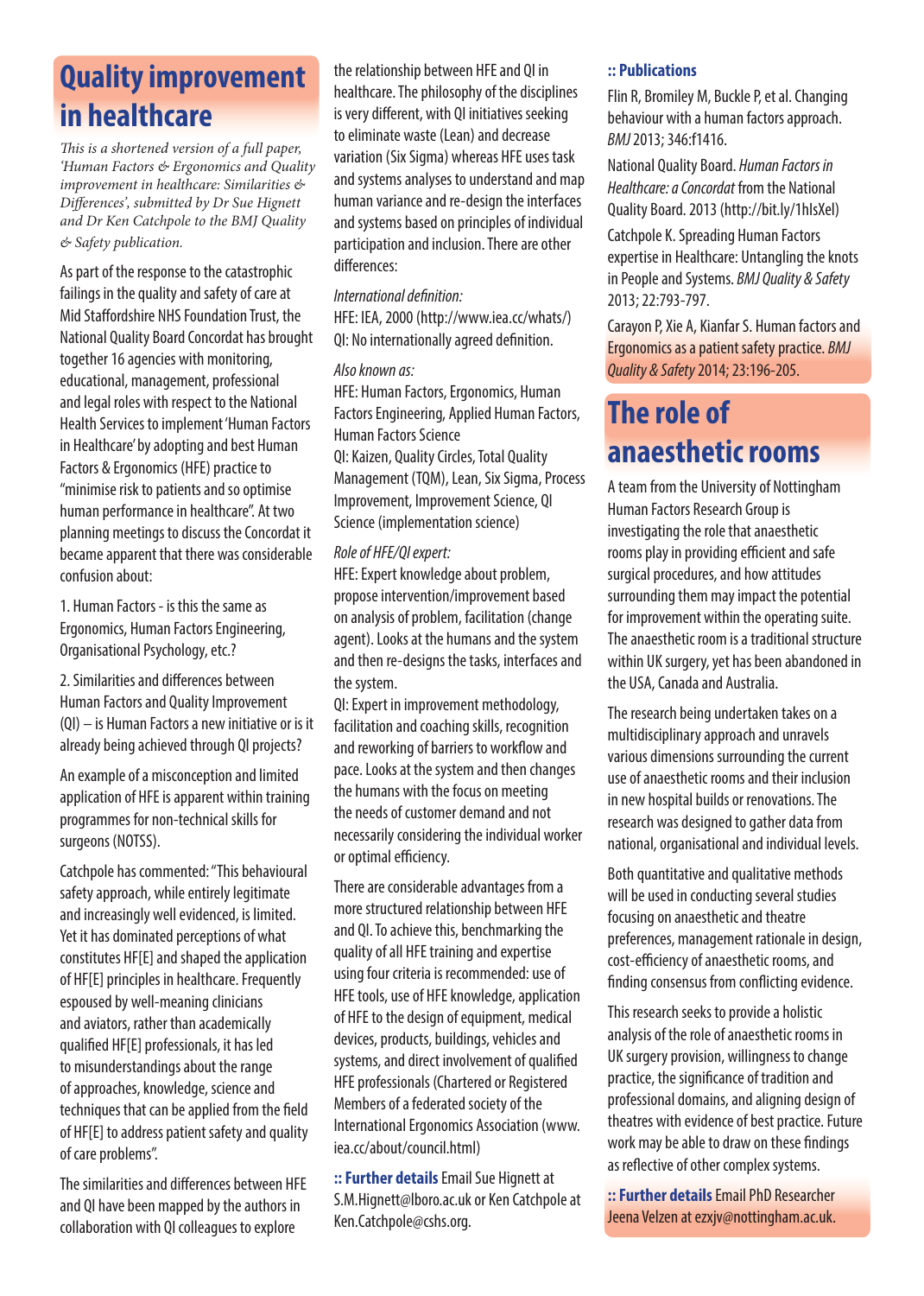## **Quality improvement in healthcare**

*This is a shortened version of a full paper, 'Human Factors & Ergonomics and Quality improvement in healthcare: Similarities & Diff erences', submitted by Dr Sue Hignett and Dr Ken Catchpole to the BMJ Quality & Safety publication.*

As part of the response to the catastrophic failings in the quality and safety of care at Mid Staffordshire NHS Foundation Trust, the National Quality Board Concordat has brought together 16 agencies with monitoring, educational, management, professional and legal roles with respect to the National Health Services to implement 'Human Factors in Healthcare' by adopting and best Human Factors & Ergonomics (HFE) practice to "minimise risk to patients and so optimise human performance in healthcare". At two planning meetings to discuss the Concordat it became apparent that there was considerable confusion about:

1. Human Factors - is this the same as Ergonomics, Human Factors Engineering, Organisational Psychology, etc.?

2. Similarities and differences between Human Factors and Quality Improvement (QI) – is Human Factors a new initiative or is it already being achieved through QI projects?

An example of a misconception and limited application of HFE is apparent within training programmes for non-technical skills for surgeons (NOTSS).

Catchpole has commented: "This behavioural safety approach, while entirely legitimate and increasingly well evidenced, is limited. Yet it has dominated perceptions of what constitutes HF[E] and shaped the application of HF[E] principles in healthcare. Frequently espoused by well-meaning clinicians and aviators, rather than academically qualified HF[E] professionals, it has led to misunderstandings about the range of approaches, knowledge, science and techniques that can be applied from the field of HF[E] to address patient safety and quality of care problems".

The similarities and differences between HFE and QI have been mapped by the authors in collaboration with QI colleagues to explore

the relationship between HFE and QI in healthcare. The philosophy of the disciplines is very different, with QI initiatives seeking to eliminate waste (Lean) and decrease variation (Six Sigma) whereas HFE uses task and systems analyses to understand and map human variance and re-design the interfaces and systems based on principles of individual participation and inclusion. There are other differences:

#### International definition:

HFE: IEA, 2000 (http://www.iea.cc/whats/) QI: No internationally agreed definition.

#### Also known as:

HFE: Human Factors, Ergonomics, Human Factors Engineering, Applied Human Factors, Human Factors Science QI: Kaizen, Quality Circles, Total Quality Management (TQM), Lean, Six Sigma, Process Improvement, Improvement Science, QI Science (implementation science)

#### Role of HFE/QI expert:

HFE: Expert knowledge about problem, propose intervention/improvement based on analysis of problem, facilitation (change agent). Looks at the humans and the system and then re-designs the tasks, interfaces and the system.

QI: Expert in improvement methodology, facilitation and coaching skills, recognition and reworking of barriers to workflow and pace. Looks at the system and then changes the humans with the focus on meeting the needs of customer demand and not necessarily considering the individual worker or optimal efficiency.

There are considerable advantages from a more structured relationship between HFE and QI. To achieve this, benchmarking the quality of all HFE training and expertise using four criteria is recommended: use of HFE tools, use of HFE knowledge, application of HFE to the design of equipment, medical devices, products, buildings, vehicles and systems, and direct involvement of qualified HFE professionals (Chartered or Registered Members of a federated society of the International Ergonomics Association (www. iea.cc/about/council.html)

**:: Further details** Email Sue Hignett at S.M.Hignett@lboro.ac.uk or Ken Catchpole at Ken.Catchpole@cshs.org.

#### **:: Publications**

Flin R, Bromiley M, Buckle P, et al. Changing behaviour with a human factors approach. BMJ 2013; 346:f1416.

National Quality Board. Human Factors in Healthcare: a Concordat from the National Quality Board. 2013 (http://bit.ly/1hIsXel)

Catchpole K. Spreading Human Factors expertise in Healthcare: Untangling the knots in People and Systems. BMJ Quality & Safety 2013; 22:793-797.

Carayon P, Xie A, Kianfar S. Human factors and Ergonomics as a patient safety practice. BMJ Quality & Safety 2014; 23:196-205.

## **The role of anaesthetic rooms**

A team from the University of Nottingham Human Factors Research Group is investigating the role that anaesthetic rooms play in providing efficient and safe surgical procedures, and how attitudes surrounding them may impact the potential for improvement within the operating suite. The anaesthetic room is a traditional structure within UK surgery, yet has been abandoned in the USA, Canada and Australia.

The research being undertaken takes on a multidisciplinary approach and unravels various dimensions surrounding the current use of anaesthetic rooms and their inclusion in new hospital builds or renovations. The research was designed to gather data from national, organisational and individual levels.

Both quantitative and qualitative methods will be used in conducting several studies focusing on anaesthetic and theatre preferences, management rationale in design, cost-efficiency of anaesthetic rooms, and finding consensus from conflicting evidence.

This research seeks to provide a holistic analysis of the role of anaesthetic rooms in UK surgery provision, willingness to change practice, the significance of tradition and professional domains, and aligning design of theatres with evidence of best practice. Future work may be able to draw on these findings as reflective of other complex systems.

**:: Further details** Email PhD Researcher Jeena Velzen at ezxjv@nottingham.ac.uk.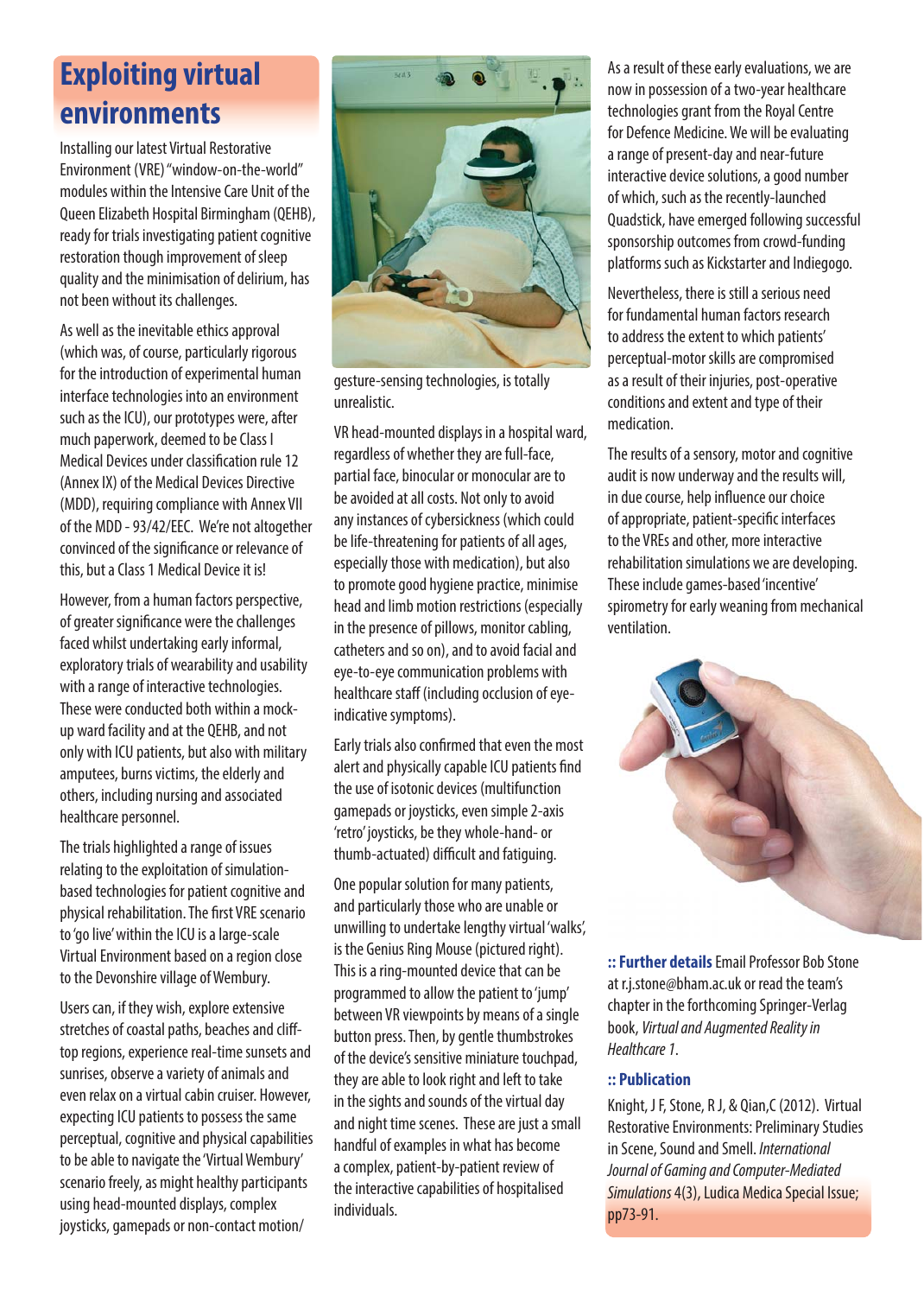## **Exploiting virtual environments**

Installing our latest Virtual Restorative Environment (VRE) "window-on-the-world" modules within the Intensive Care Unit of the Queen Elizabeth Hospital Birmingham (QEHB), ready for trials investigating patient cognitive restoration though improvement of sleep quality and the minimisation of delirium, has not been without its challenges.

As well as the inevitable ethics approval (which was, of course, particularly rigorous for the introduction of experimental human interface technologies into an environment such as the ICU), our prototypes were, after much paperwork, deemed to be Class I Medical Devices under classification rule 12 (Annex IX) of the Medical Devices Directive (MDD), requiring compliance with Annex VII of the MDD - 93/42/EEC. We're not altogether convinced of the significance or relevance of this, but a Class 1 Medical Device it is!

However, from a human factors perspective, of greater significance were the challenges faced whilst undertaking early informal, exploratory trials of wearability and usability with a range of interactive technologies. These were conducted both within a mockup ward facility and at the QEHB, and not only with ICU patients, but also with military amputees, burns victims, the elderly and others, including nursing and associated healthcare personnel.

The trials highlighted a range of issues relating to the exploitation of simulationbased technologies for patient cognitive and physical rehabilitation. The first VRE scenario to 'go live' within the ICU is a large-scale Virtual Environment based on a region close to the Devonshire village of Wembury.

Users can, if they wish, explore extensive stretches of coastal paths, beaches and clifftop regions, experience real-time sunsets and sunrises, observe a variety of animals and even relax on a virtual cabin cruiser. However, expecting ICU patients to possess the same perceptual, cognitive and physical capabilities to be able to navigate the 'Virtual Wembury' scenario freely, as might healthy participants using head-mounted displays, complex joysticks, gamepads or non-contact motion/



gesture-sensing technologies, is totally unrealistic.

VR head-mounted displays in a hospital ward, regardless of whether they are full-face, partial face, binocular or monocular are to be avoided at all costs. Not only to avoid any instances of cybersickness (which could be life-threatening for patients of all ages, especially those with medication), but also to promote good hygiene practice, minimise head and limb motion restrictions (especially in the presence of pillows, monitor cabling, catheters and so on), and to avoid facial and eye-to-eye communication problems with healthcare staff (including occlusion of eyeindicative symptoms).

Early trials also confirmed that even the most alert and physically capable ICU patients find the use of isotonic devices (multifunction gamepads or joysticks, even simple 2-axis 'retro' joysticks, be they whole-hand- or thumb-actuated) difficult and fatiquing.

One popular solution for many patients, and particularly those who are unable or unwilling to undertake lengthy virtual 'walks', is the Genius Ring Mouse (pictured right). This is a ring-mounted device that can be programmed to allow the patient to 'jump' between VR viewpoints by means of a single button press. Then, by gentle thumbstrokes of the device's sensitive miniature touchpad, they are able to look right and left to take in the sights and sounds of the virtual day and night time scenes. These are just a small handful of examples in what has become a complex, patient-by-patient review of the interactive capabilities of hospitalised individuals.

As a result of these early evaluations, we are now in possession of a two-year healthcare technologies grant from the Royal Centre for Defence Medicine. We will be evaluating a range of present-day and near-future interactive device solutions, a good number of which, such as the recently-launched Quadstick, have emerged following successful sponsorship outcomes from crowd-funding platforms such as Kickstarter and Indiegogo.

Nevertheless, there is still a serious need for fundamental human factors research to address the extent to which patients' perceptual-motor skills are compromised as a result of their injuries, post-operative conditions and extent and type of their medication.

The results of a sensory, motor and cognitive audit is now underway and the results will, in due course, help influence our choice of appropriate, patient-specific interfaces to the VREs and other, more interactive rehabilitation simulations we are developing. These include games-based 'incentive' spirometry for early weaning from mechanical ventilation.



**:: Further details** Email Professor Bob Stone at r.j.stone@bham.ac.uk or read the team's chapter in the forthcoming Springer‐Verlag book, Virtual and Augmented Reality in Healthcare 1.

#### **:: Publication**

Knight, J F, Stone, R J, & Qian, C (2012). Virtual Restorative Environments: Preliminary Studies in Scene, Sound and Smell. International Journal of Gaming and Computer-Mediated Simulations 4(3), Ludica Medica Special Issue; pp73-91.